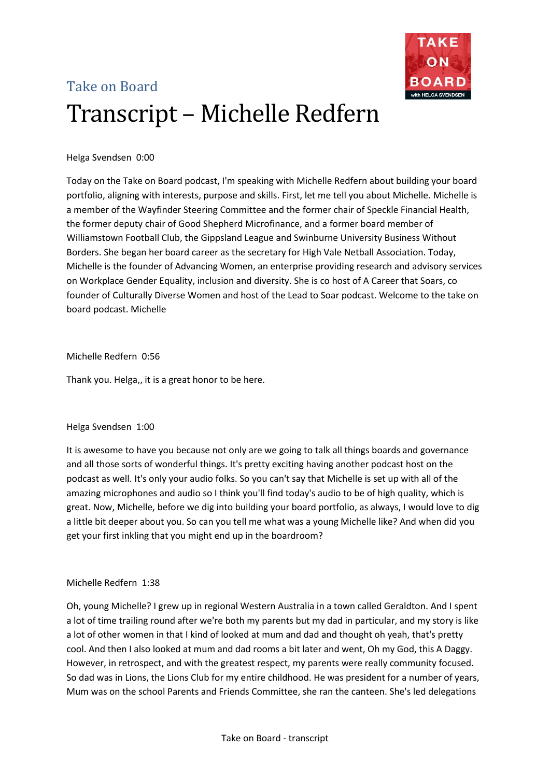

# Take on Board Transcript – Michelle Redfern

# Helga Svendsen 0:00

Today on the Take on Board podcast, I'm speaking with Michelle Redfern about building your board portfolio, aligning with interests, purpose and skills. First, let me tell you about Michelle. Michelle is a member of the Wayfinder Steering Committee and the former chair of Speckle Financial Health, the former deputy chair of Good Shepherd Microfinance, and a former board member of Williamstown Football Club, the Gippsland League and Swinburne University Business Without Borders. She began her board career as the secretary for High Vale Netball Association. Today, Michelle is the founder of Advancing Women, an enterprise providing research and advisory services on Workplace Gender Equality, inclusion and diversity. She is co host of A Career that Soars, co founder of Culturally Diverse Women and host of the Lead to Soar podcast. Welcome to the take on board podcast. Michelle

# Michelle Redfern 0:56

Thank you. Helga,, it is a great honor to be here.

# Helga Svendsen 1:00

It is awesome to have you because not only are we going to talk all things boards and governance and all those sorts of wonderful things. It's pretty exciting having another podcast host on the podcast as well. It's only your audio folks. So you can't say that Michelle is set up with all of the amazing microphones and audio so I think you'll find today's audio to be of high quality, which is great. Now, Michelle, before we dig into building your board portfolio, as always, I would love to dig a little bit deeper about you. So can you tell me what was a young Michelle like? And when did you get your first inkling that you might end up in the boardroom?

# Michelle Redfern 1:38

Oh, young Michelle? I grew up in regional Western Australia in a town called Geraldton. And I spent a lot of time trailing round after we're both my parents but my dad in particular, and my story is like a lot of other women in that I kind of looked at mum and dad and thought oh yeah, that's pretty cool. And then I also looked at mum and dad rooms a bit later and went, Oh my God, this A Daggy. However, in retrospect, and with the greatest respect, my parents were really community focused. So dad was in Lions, the Lions Club for my entire childhood. He was president for a number of years, Mum was on the school Parents and Friends Committee, she ran the canteen. She's led delegations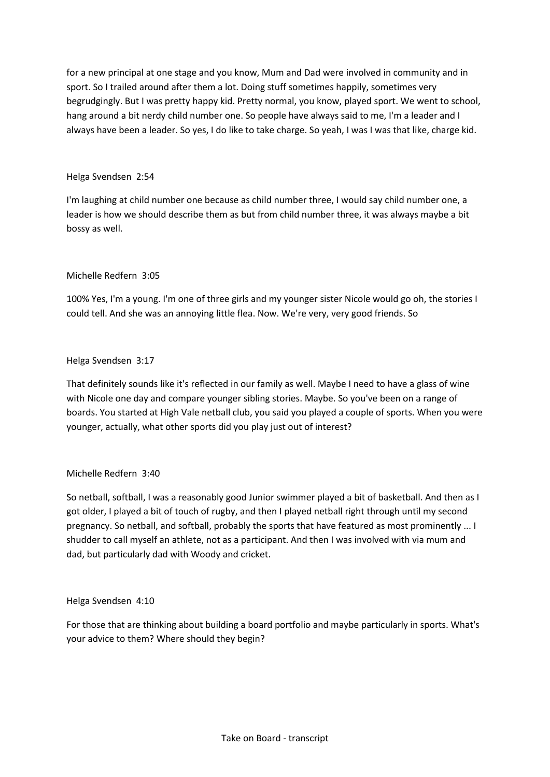for a new principal at one stage and you know, Mum and Dad were involved in community and in sport. So I trailed around after them a lot. Doing stuff sometimes happily, sometimes very begrudgingly. But I was pretty happy kid. Pretty normal, you know, played sport. We went to school, hang around a bit nerdy child number one. So people have always said to me, I'm a leader and I always have been a leader. So yes, I do like to take charge. So yeah, I was I was that like, charge kid.

## Helga Svendsen 2:54

I'm laughing at child number one because as child number three, I would say child number one, a leader is how we should describe them as but from child number three, it was always maybe a bit bossy as well.

## Michelle Redfern 3:05

100% Yes, I'm a young. I'm one of three girls and my younger sister Nicole would go oh, the stories I could tell. And she was an annoying little flea. Now. We're very, very good friends. So

## Helga Svendsen 3:17

That definitely sounds like it's reflected in our family as well. Maybe I need to have a glass of wine with Nicole one day and compare younger sibling stories. Maybe. So you've been on a range of boards. You started at High Vale netball club, you said you played a couple of sports. When you were younger, actually, what other sports did you play just out of interest?

# Michelle Redfern 3:40

So netball, softball, I was a reasonably good Junior swimmer played a bit of basketball. And then as I got older, I played a bit of touch of rugby, and then I played netball right through until my second pregnancy. So netball, and softball, probably the sports that have featured as most prominently ... I shudder to call myself an athlete, not as a participant. And then I was involved with via mum and dad, but particularly dad with Woody and cricket.

## Helga Svendsen 4:10

For those that are thinking about building a board portfolio and maybe particularly in sports. What's your advice to them? Where should they begin?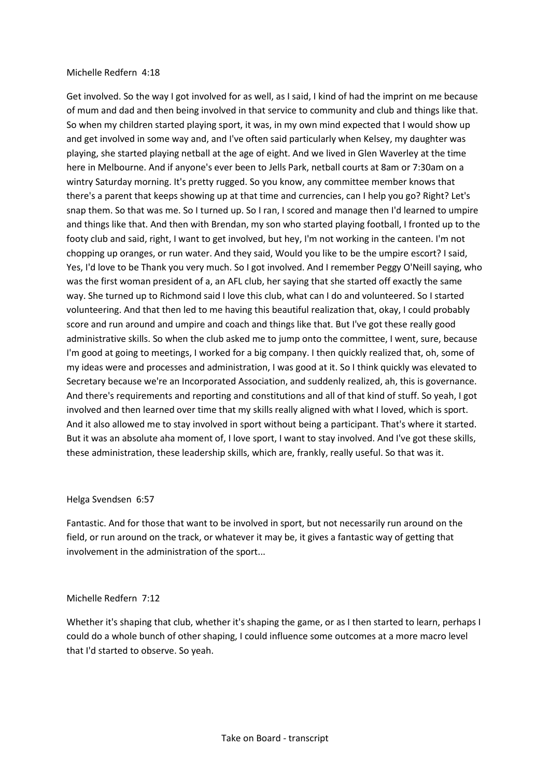#### Michelle Redfern 4:18

Get involved. So the way I got involved for as well, as I said, I kind of had the imprint on me because of mum and dad and then being involved in that service to community and club and things like that. So when my children started playing sport, it was, in my own mind expected that I would show up and get involved in some way and, and I've often said particularly when Kelsey, my daughter was playing, she started playing netball at the age of eight. And we lived in Glen Waverley at the time here in Melbourne. And if anyone's ever been to Jells Park, netball courts at 8am or 7:30am on a wintry Saturday morning. It's pretty rugged. So you know, any committee member knows that there's a parent that keeps showing up at that time and currencies, can I help you go? Right? Let's snap them. So that was me. So I turned up. So I ran, I scored and manage then I'd learned to umpire and things like that. And then with Brendan, my son who started playing football, I fronted up to the footy club and said, right, I want to get involved, but hey, I'm not working in the canteen. I'm not chopping up oranges, or run water. And they said, Would you like to be the umpire escort? I said, Yes, I'd love to be Thank you very much. So I got involved. And I remember Peggy O'Neill saying, who was the first woman president of a, an AFL club, her saying that she started off exactly the same way. She turned up to Richmond said I love this club, what can I do and volunteered. So I started volunteering. And that then led to me having this beautiful realization that, okay, I could probably score and run around and umpire and coach and things like that. But I've got these really good administrative skills. So when the club asked me to jump onto the committee, I went, sure, because I'm good at going to meetings, I worked for a big company. I then quickly realized that, oh, some of my ideas were and processes and administration, I was good at it. So I think quickly was elevated to Secretary because we're an Incorporated Association, and suddenly realized, ah, this is governance. And there's requirements and reporting and constitutions and all of that kind of stuff. So yeah, I got involved and then learned over time that my skills really aligned with what I loved, which is sport. And it also allowed me to stay involved in sport without being a participant. That's where it started. But it was an absolute aha moment of, I love sport, I want to stay involved. And I've got these skills, these administration, these leadership skills, which are, frankly, really useful. So that was it.

#### Helga Svendsen 6:57

Fantastic. And for those that want to be involved in sport, but not necessarily run around on the field, or run around on the track, or whatever it may be, it gives a fantastic way of getting that involvement in the administration of the sport...

#### Michelle Redfern 7:12

Whether it's shaping that club, whether it's shaping the game, or as I then started to learn, perhaps I could do a whole bunch of other shaping, I could influence some outcomes at a more macro level that I'd started to observe. So yeah.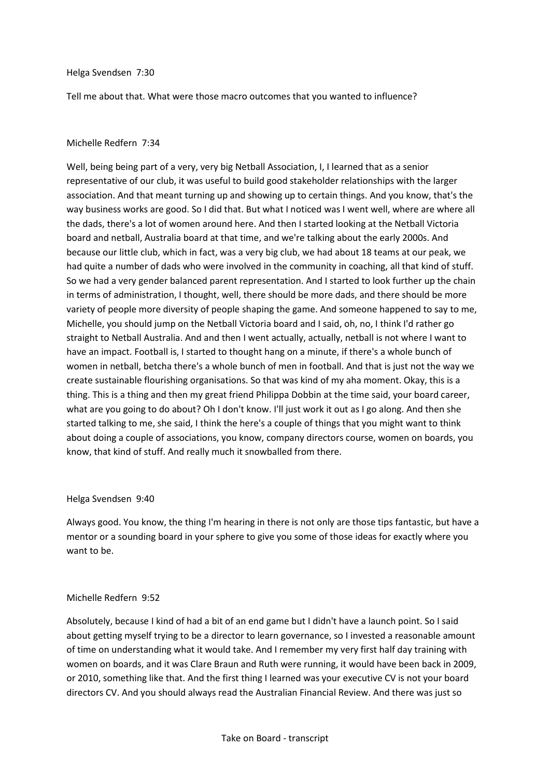#### Helga Svendsen 7:30

Tell me about that. What were those macro outcomes that you wanted to influence?

#### Michelle Redfern 7:34

Well, being being part of a very, very big Netball Association, I, I learned that as a senior representative of our club, it was useful to build good stakeholder relationships with the larger association. And that meant turning up and showing up to certain things. And you know, that's the way business works are good. So I did that. But what I noticed was I went well, where are where all the dads, there's a lot of women around here. And then I started looking at the Netball Victoria board and netball, Australia board at that time, and we're talking about the early 2000s. And because our little club, which in fact, was a very big club, we had about 18 teams at our peak, we had quite a number of dads who were involved in the community in coaching, all that kind of stuff. So we had a very gender balanced parent representation. And I started to look further up the chain in terms of administration, I thought, well, there should be more dads, and there should be more variety of people more diversity of people shaping the game. And someone happened to say to me, Michelle, you should jump on the Netball Victoria board and I said, oh, no, I think I'd rather go straight to Netball Australia. And and then I went actually, actually, netball is not where I want to have an impact. Football is, I started to thought hang on a minute, if there's a whole bunch of women in netball, betcha there's a whole bunch of men in football. And that is just not the way we create sustainable flourishing organisations. So that was kind of my aha moment. Okay, this is a thing. This is a thing and then my great friend Philippa Dobbin at the time said, your board career, what are you going to do about? Oh I don't know. I'll just work it out as I go along. And then she started talking to me, she said, I think the here's a couple of things that you might want to think about doing a couple of associations, you know, company directors course, women on boards, you know, that kind of stuff. And really much it snowballed from there.

#### Helga Svendsen 9:40

Always good. You know, the thing I'm hearing in there is not only are those tips fantastic, but have a mentor or a sounding board in your sphere to give you some of those ideas for exactly where you want to be.

## Michelle Redfern 9:52

Absolutely, because I kind of had a bit of an end game but I didn't have a launch point. So I said about getting myself trying to be a director to learn governance, so I invested a reasonable amount of time on understanding what it would take. And I remember my very first half day training with women on boards, and it was Clare Braun and Ruth were running, it would have been back in 2009, or 2010, something like that. And the first thing I learned was your executive CV is not your board directors CV. And you should always read the Australian Financial Review. And there was just so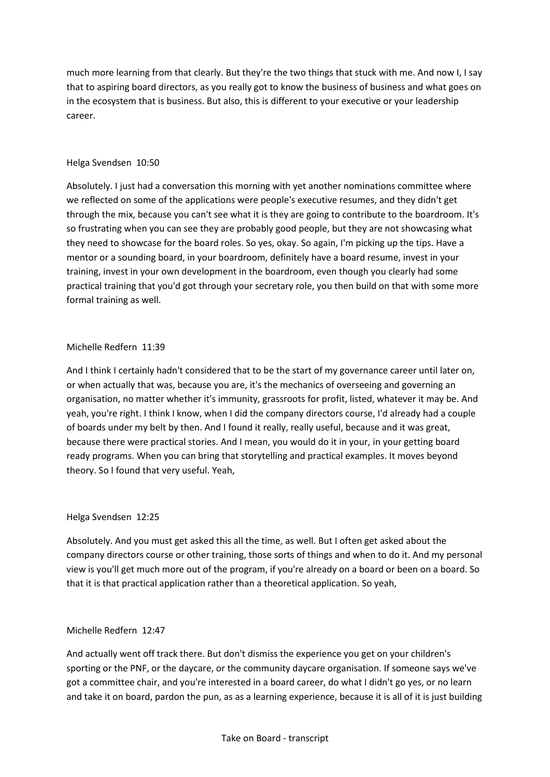much more learning from that clearly. But they're the two things that stuck with me. And now I, I say that to aspiring board directors, as you really got to know the business of business and what goes on in the ecosystem that is business. But also, this is different to your executive or your leadership career.

## Helga Svendsen 10:50

Absolutely. I just had a conversation this morning with yet another nominations committee where we reflected on some of the applications were people's executive resumes, and they didn't get through the mix, because you can't see what it is they are going to contribute to the boardroom. It's so frustrating when you can see they are probably good people, but they are not showcasing what they need to showcase for the board roles. So yes, okay. So again, I'm picking up the tips. Have a mentor or a sounding board, in your boardroom, definitely have a board resume, invest in your training, invest in your own development in the boardroom, even though you clearly had some practical training that you'd got through your secretary role, you then build on that with some more formal training as well.

## Michelle Redfern 11:39

And I think I certainly hadn't considered that to be the start of my governance career until later on, or when actually that was, because you are, it's the mechanics of overseeing and governing an organisation, no matter whether it's immunity, grassroots for profit, listed, whatever it may be. And yeah, you're right. I think I know, when I did the company directors course, I'd already had a couple of boards under my belt by then. And I found it really, really useful, because and it was great, because there were practical stories. And I mean, you would do it in your, in your getting board ready programs. When you can bring that storytelling and practical examples. It moves beyond theory. So I found that very useful. Yeah,

## Helga Svendsen 12:25

Absolutely. And you must get asked this all the time, as well. But I often get asked about the company directors course or other training, those sorts of things and when to do it. And my personal view is you'll get much more out of the program, if you're already on a board or been on a board. So that it is that practical application rather than a theoretical application. So yeah,

## Michelle Redfern 12:47

And actually went off track there. But don't dismiss the experience you get on your children's sporting or the PNF, or the daycare, or the community daycare organisation. If someone says we've got a committee chair, and you're interested in a board career, do what I didn't go yes, or no learn and take it on board, pardon the pun, as as a learning experience, because it is all of it is just building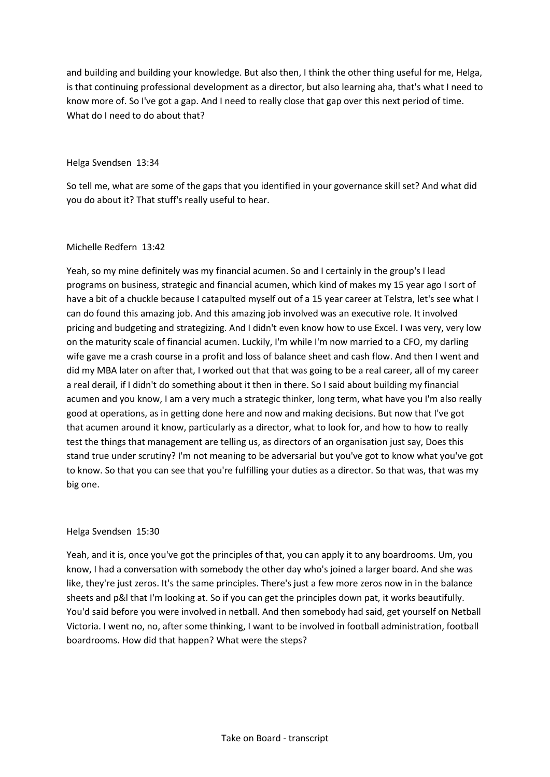and building and building your knowledge. But also then, I think the other thing useful for me, Helga, is that continuing professional development as a director, but also learning aha, that's what I need to know more of. So I've got a gap. And I need to really close that gap over this next period of time. What do I need to do about that?

#### Helga Svendsen 13:34

So tell me, what are some of the gaps that you identified in your governance skill set? And what did you do about it? That stuff's really useful to hear.

#### Michelle Redfern 13:42

Yeah, so my mine definitely was my financial acumen. So and I certainly in the group's I lead programs on business, strategic and financial acumen, which kind of makes my 15 year ago I sort of have a bit of a chuckle because I catapulted myself out of a 15 year career at Telstra, let's see what I can do found this amazing job. And this amazing job involved was an executive role. It involved pricing and budgeting and strategizing. And I didn't even know how to use Excel. I was very, very low on the maturity scale of financial acumen. Luckily, I'm while I'm now married to a CFO, my darling wife gave me a crash course in a profit and loss of balance sheet and cash flow. And then I went and did my MBA later on after that, I worked out that that was going to be a real career, all of my career a real derail, if I didn't do something about it then in there. So I said about building my financial acumen and you know, I am a very much a strategic thinker, long term, what have you I'm also really good at operations, as in getting done here and now and making decisions. But now that I've got that acumen around it know, particularly as a director, what to look for, and how to how to really test the things that management are telling us, as directors of an organisation just say, Does this stand true under scrutiny? I'm not meaning to be adversarial but you've got to know what you've got to know. So that you can see that you're fulfilling your duties as a director. So that was, that was my big one.

## Helga Svendsen 15:30

Yeah, and it is, once you've got the principles of that, you can apply it to any boardrooms. Um, you know, I had a conversation with somebody the other day who's joined a larger board. And she was like, they're just zeros. It's the same principles. There's just a few more zeros now in in the balance sheets and p&l that I'm looking at. So if you can get the principles down pat, it works beautifully. You'd said before you were involved in netball. And then somebody had said, get yourself on Netball Victoria. I went no, no, after some thinking, I want to be involved in football administration, football boardrooms. How did that happen? What were the steps?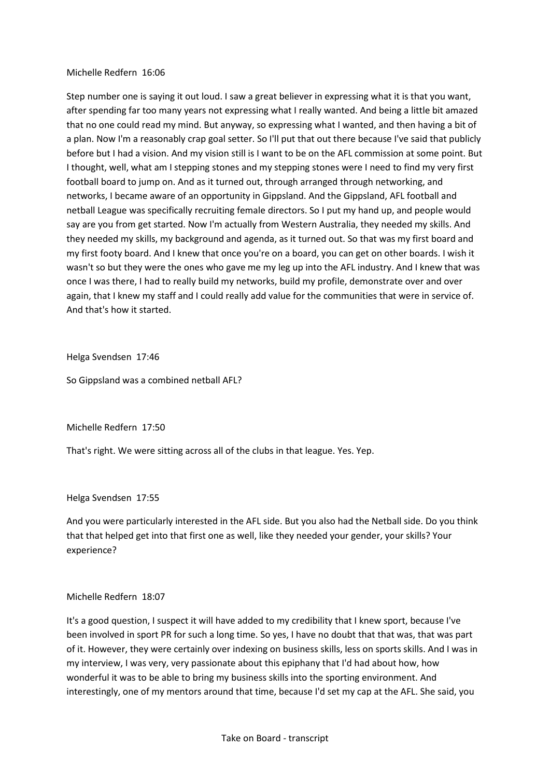#### Michelle Redfern 16:06

Step number one is saying it out loud. I saw a great believer in expressing what it is that you want, after spending far too many years not expressing what I really wanted. And being a little bit amazed that no one could read my mind. But anyway, so expressing what I wanted, and then having a bit of a plan. Now I'm a reasonably crap goal setter. So I'll put that out there because I've said that publicly before but I had a vision. And my vision still is I want to be on the AFL commission at some point. But I thought, well, what am I stepping stones and my stepping stones were I need to find my very first football board to jump on. And as it turned out, through arranged through networking, and networks, I became aware of an opportunity in Gippsland. And the Gippsland, AFL football and netball League was specifically recruiting female directors. So I put my hand up, and people would say are you from get started. Now I'm actually from Western Australia, they needed my skills. And they needed my skills, my background and agenda, as it turned out. So that was my first board and my first footy board. And I knew that once you're on a board, you can get on other boards. I wish it wasn't so but they were the ones who gave me my leg up into the AFL industry. And I knew that was once I was there, I had to really build my networks, build my profile, demonstrate over and over again, that I knew my staff and I could really add value for the communities that were in service of. And that's how it started.

Helga Svendsen 17:46

So Gippsland was a combined netball AFL?

Michelle Redfern 17:50

That's right. We were sitting across all of the clubs in that league. Yes. Yep.

#### Helga Svendsen 17:55

And you were particularly interested in the AFL side. But you also had the Netball side. Do you think that that helped get into that first one as well, like they needed your gender, your skills? Your experience?

## Michelle Redfern 18:07

It's a good question, I suspect it will have added to my credibility that I knew sport, because I've been involved in sport PR for such a long time. So yes, I have no doubt that that was, that was part of it. However, they were certainly over indexing on business skills, less on sports skills. And I was in my interview, I was very, very passionate about this epiphany that I'd had about how, how wonderful it was to be able to bring my business skills into the sporting environment. And interestingly, one of my mentors around that time, because I'd set my cap at the AFL. She said, you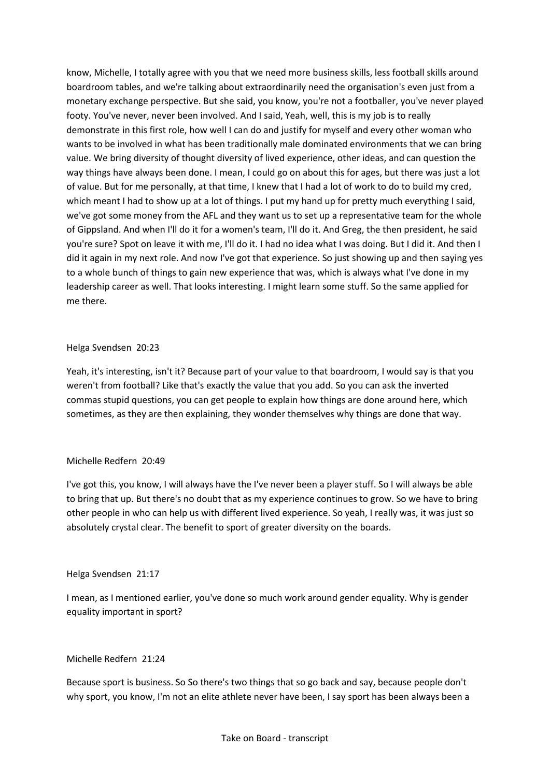know, Michelle, I totally agree with you that we need more business skills, less football skills around boardroom tables, and we're talking about extraordinarily need the organisation's even just from a monetary exchange perspective. But she said, you know, you're not a footballer, you've never played footy. You've never, never been involved. And I said, Yeah, well, this is my job is to really demonstrate in this first role, how well I can do and justify for myself and every other woman who wants to be involved in what has been traditionally male dominated environments that we can bring value. We bring diversity of thought diversity of lived experience, other ideas, and can question the way things have always been done. I mean, I could go on about this for ages, but there was just a lot of value. But for me personally, at that time, I knew that I had a lot of work to do to build my cred, which meant I had to show up at a lot of things. I put my hand up for pretty much everything I said, we've got some money from the AFL and they want us to set up a representative team for the whole of Gippsland. And when I'll do it for a women's team, I'll do it. And Greg, the then president, he said you're sure? Spot on leave it with me, I'll do it. I had no idea what I was doing. But I did it. And then I did it again in my next role. And now I've got that experience. So just showing up and then saying yes to a whole bunch of things to gain new experience that was, which is always what I've done in my leadership career as well. That looks interesting. I might learn some stuff. So the same applied for me there.

## Helga Svendsen 20:23

Yeah, it's interesting, isn't it? Because part of your value to that boardroom, I would say is that you weren't from football? Like that's exactly the value that you add. So you can ask the inverted commas stupid questions, you can get people to explain how things are done around here, which sometimes, as they are then explaining, they wonder themselves why things are done that way.

# Michelle Redfern 20:49

I've got this, you know, I will always have the I've never been a player stuff. So I will always be able to bring that up. But there's no doubt that as my experience continues to grow. So we have to bring other people in who can help us with different lived experience. So yeah, I really was, it was just so absolutely crystal clear. The benefit to sport of greater diversity on the boards.

## Helga Svendsen 21:17

I mean, as I mentioned earlier, you've done so much work around gender equality. Why is gender equality important in sport?

# Michelle Redfern 21:24

Because sport is business. So So there's two things that so go back and say, because people don't why sport, you know, I'm not an elite athlete never have been, I say sport has been always been a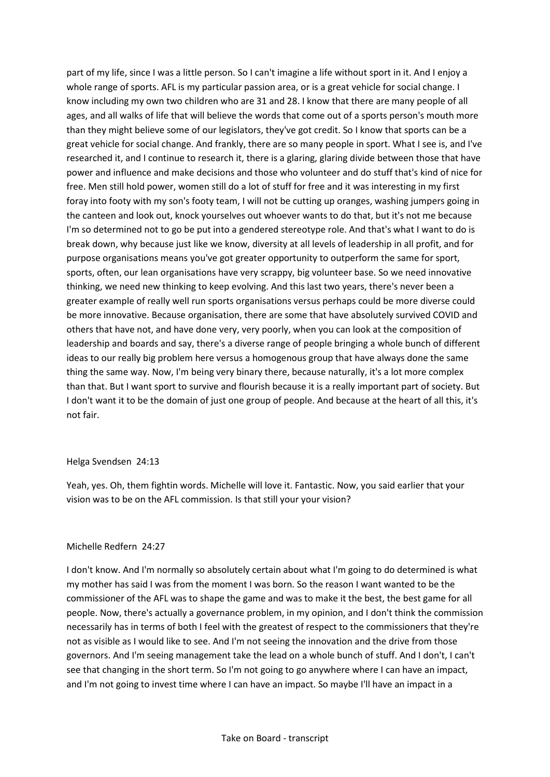part of my life, since I was a little person. So I can't imagine a life without sport in it. And I enjoy a whole range of sports. AFL is my particular passion area, or is a great vehicle for social change. I know including my own two children who are 31 and 28. I know that there are many people of all ages, and all walks of life that will believe the words that come out of a sports person's mouth more than they might believe some of our legislators, they've got credit. So I know that sports can be a great vehicle for social change. And frankly, there are so many people in sport. What I see is, and I've researched it, and I continue to research it, there is a glaring, glaring divide between those that have power and influence and make decisions and those who volunteer and do stuff that's kind of nice for free. Men still hold power, women still do a lot of stuff for free and it was interesting in my first foray into footy with my son's footy team, I will not be cutting up oranges, washing jumpers going in the canteen and look out, knock yourselves out whoever wants to do that, but it's not me because I'm so determined not to go be put into a gendered stereotype role. And that's what I want to do is break down, why because just like we know, diversity at all levels of leadership in all profit, and for purpose organisations means you've got greater opportunity to outperform the same for sport, sports, often, our lean organisations have very scrappy, big volunteer base. So we need innovative thinking, we need new thinking to keep evolving. And this last two years, there's never been a greater example of really well run sports organisations versus perhaps could be more diverse could be more innovative. Because organisation, there are some that have absolutely survived COVID and others that have not, and have done very, very poorly, when you can look at the composition of leadership and boards and say, there's a diverse range of people bringing a whole bunch of different ideas to our really big problem here versus a homogenous group that have always done the same thing the same way. Now, I'm being very binary there, because naturally, it's a lot more complex than that. But I want sport to survive and flourish because it is a really important part of society. But I don't want it to be the domain of just one group of people. And because at the heart of all this, it's not fair.

#### Helga Svendsen 24:13

Yeah, yes. Oh, them fightin words. Michelle will love it. Fantastic. Now, you said earlier that your vision was to be on the AFL commission. Is that still your your vision?

#### Michelle Redfern 24:27

I don't know. And I'm normally so absolutely certain about what I'm going to do determined is what my mother has said I was from the moment I was born. So the reason I want wanted to be the commissioner of the AFL was to shape the game and was to make it the best, the best game for all people. Now, there's actually a governance problem, in my opinion, and I don't think the commission necessarily has in terms of both I feel with the greatest of respect to the commissioners that they're not as visible as I would like to see. And I'm not seeing the innovation and the drive from those governors. And I'm seeing management take the lead on a whole bunch of stuff. And I don't, I can't see that changing in the short term. So I'm not going to go anywhere where I can have an impact, and I'm not going to invest time where I can have an impact. So maybe I'll have an impact in a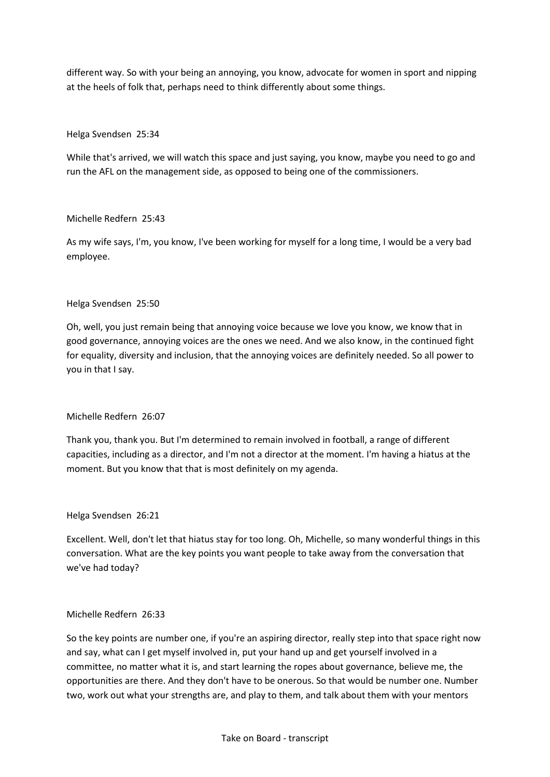different way. So with your being an annoying, you know, advocate for women in sport and nipping at the heels of folk that, perhaps need to think differently about some things.

#### Helga Svendsen 25:34

While that's arrived, we will watch this space and just saying, you know, maybe you need to go and run the AFL on the management side, as opposed to being one of the commissioners.

#### Michelle Redfern 25:43

As my wife says, I'm, you know, I've been working for myself for a long time, I would be a very bad employee.

#### Helga Svendsen 25:50

Oh, well, you just remain being that annoying voice because we love you know, we know that in good governance, annoying voices are the ones we need. And we also know, in the continued fight for equality, diversity and inclusion, that the annoying voices are definitely needed. So all power to you in that I say.

## Michelle Redfern 26:07

Thank you, thank you. But I'm determined to remain involved in football, a range of different capacities, including as a director, and I'm not a director at the moment. I'm having a hiatus at the moment. But you know that that is most definitely on my agenda.

#### Helga Svendsen 26:21

Excellent. Well, don't let that hiatus stay for too long. Oh, Michelle, so many wonderful things in this conversation. What are the key points you want people to take away from the conversation that we've had today?

#### Michelle Redfern 26:33

So the key points are number one, if you're an aspiring director, really step into that space right now and say, what can I get myself involved in, put your hand up and get yourself involved in a committee, no matter what it is, and start learning the ropes about governance, believe me, the opportunities are there. And they don't have to be onerous. So that would be number one. Number two, work out what your strengths are, and play to them, and talk about them with your mentors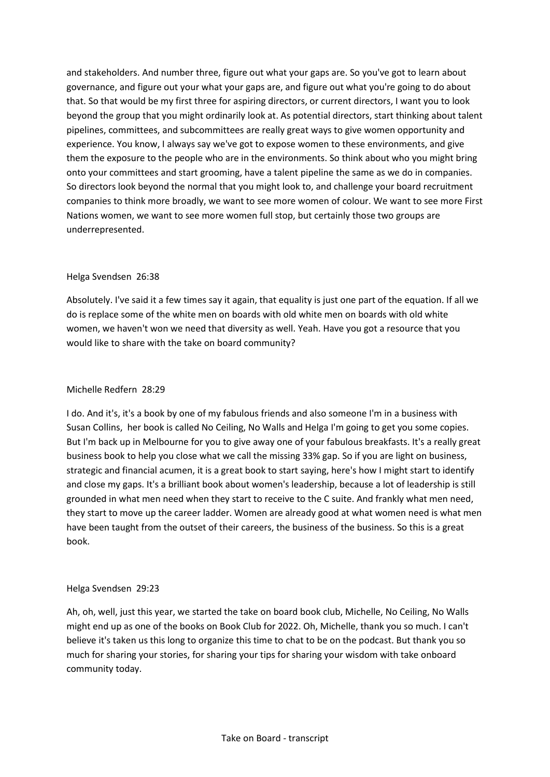and stakeholders. And number three, figure out what your gaps are. So you've got to learn about governance, and figure out your what your gaps are, and figure out what you're going to do about that. So that would be my first three for aspiring directors, or current directors, I want you to look beyond the group that you might ordinarily look at. As potential directors, start thinking about talent pipelines, committees, and subcommittees are really great ways to give women opportunity and experience. You know, I always say we've got to expose women to these environments, and give them the exposure to the people who are in the environments. So think about who you might bring onto your committees and start grooming, have a talent pipeline the same as we do in companies. So directors look beyond the normal that you might look to, and challenge your board recruitment companies to think more broadly, we want to see more women of colour. We want to see more First Nations women, we want to see more women full stop, but certainly those two groups are underrepresented.

## Helga Svendsen 26:38

Absolutely. I've said it a few times say it again, that equality is just one part of the equation. If all we do is replace some of the white men on boards with old white men on boards with old white women, we haven't won we need that diversity as well. Yeah. Have you got a resource that you would like to share with the take on board community?

## Michelle Redfern 28:29

I do. And it's, it's a book by one of my fabulous friends and also someone I'm in a business with Susan Collins, her book is called No Ceiling, No Walls and Helga I'm going to get you some copies. But I'm back up in Melbourne for you to give away one of your fabulous breakfasts. It's a really great business book to help you close what we call the missing 33% gap. So if you are light on business, strategic and financial acumen, it is a great book to start saying, here's how I might start to identify and close my gaps. It's a brilliant book about women's leadership, because a lot of leadership is still grounded in what men need when they start to receive to the C suite. And frankly what men need, they start to move up the career ladder. Women are already good at what women need is what men have been taught from the outset of their careers, the business of the business. So this is a great book.

## Helga Svendsen 29:23

Ah, oh, well, just this year, we started the take on board book club, Michelle, No Ceiling, No Walls might end up as one of the books on Book Club for 2022. Oh, Michelle, thank you so much. I can't believe it's taken us this long to organize this time to chat to be on the podcast. But thank you so much for sharing your stories, for sharing your tips for sharing your wisdom with take onboard community today.